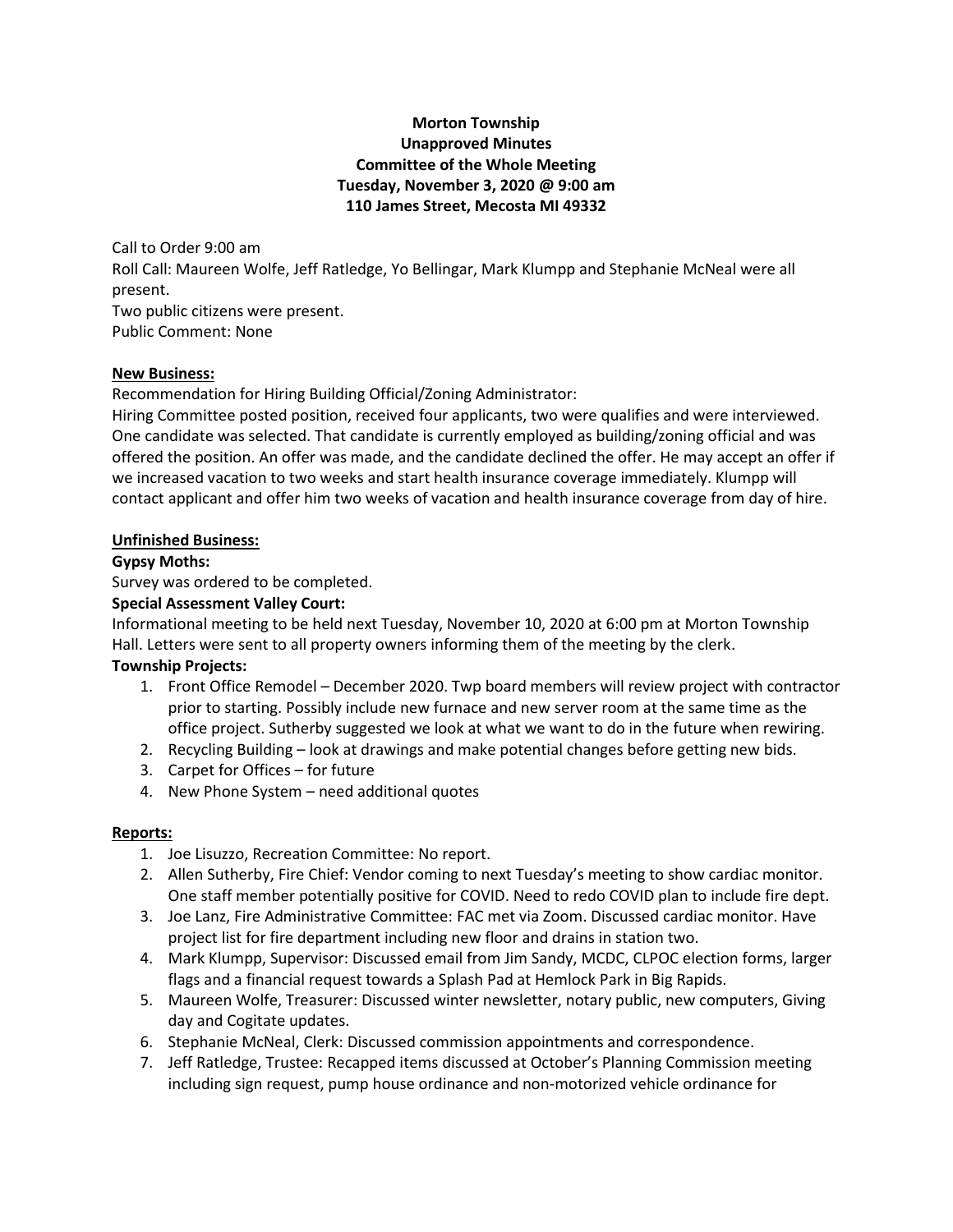# **Morton Township Unapproved Minutes Committee of the Whole Meeting Tuesday, November 3, 2020 @ 9:00 am 110 James Street, Mecosta MI 49332**

Call to Order 9:00 am Roll Call: Maureen Wolfe, Jeff Ratledge, Yo Bellingar, Mark Klumpp and Stephanie McNeal were all present. Two public citizens were present. Public Comment: None

#### **New Business:**

Recommendation for Hiring Building Official/Zoning Administrator:

Hiring Committee posted position, received four applicants, two were qualifies and were interviewed. One candidate was selected. That candidate is currently employed as building/zoning official and was offered the position. An offer was made, and the candidate declined the offer. He may accept an offer if we increased vacation to two weeks and start health insurance coverage immediately. Klumpp will contact applicant and offer him two weeks of vacation and health insurance coverage from day of hire.

### **Unfinished Business:**

### **Gypsy Moths:**

Survey was ordered to be completed.

### **Special Assessment Valley Court:**

Informational meeting to be held next Tuesday, November 10, 2020 at 6:00 pm at Morton Township Hall. Letters were sent to all property owners informing them of the meeting by the clerk. **Township Projects:**

- 1. Front Office Remodel December 2020. Twp board members will review project with contractor prior to starting. Possibly include new furnace and new server room at the same time as the office project. Sutherby suggested we look at what we want to do in the future when rewiring.
- 2. Recycling Building look at drawings and make potential changes before getting new bids.
- 3. Carpet for Offices for future
- 4. New Phone System need additional quotes

# **Reports:**

- 1. Joe Lisuzzo, Recreation Committee: No report.
- 2. Allen Sutherby, Fire Chief: Vendor coming to next Tuesday's meeting to show cardiac monitor. One staff member potentially positive for COVID. Need to redo COVID plan to include fire dept.
- 3. Joe Lanz, Fire Administrative Committee: FAC met via Zoom. Discussed cardiac monitor. Have project list for fire department including new floor and drains in station two.
- 4. Mark Klumpp, Supervisor: Discussed email from Jim Sandy, MCDC, CLPOC election forms, larger flags and a financial request towards a Splash Pad at Hemlock Park in Big Rapids.
- 5. Maureen Wolfe, Treasurer: Discussed winter newsletter, notary public, new computers, Giving day and Cogitate updates.
- 6. Stephanie McNeal, Clerk: Discussed commission appointments and correspondence.
- 7. Jeff Ratledge, Trustee: Recapped items discussed at October's Planning Commission meeting including sign request, pump house ordinance and non-motorized vehicle ordinance for